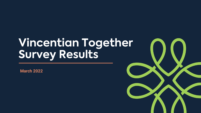# **Vincentian Together Survey Results**

**March 2022**

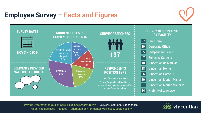### **Employee Survey – Facts and Figures**





#### **SURVEY RESPONDENTS BY FACILITY**



- **19** Corporate Office
- **5** Independent Living
- **7** Schenley Gardens
- **10** Vincentian de Marillac
- **38** Vincentian Home
	- **6** Vincentian Home PC
- **20** Vincentian Marian Manor
	- **1** Vincentian Marian Manor PC
- **24** Prefer Not to Answer

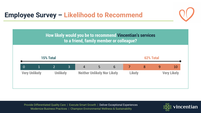



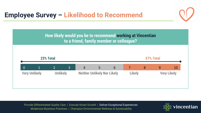



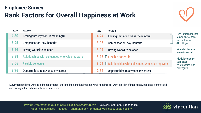### **Employee Survey Rank Factors for Overall Happiness at Work**

| 2020 | <b>FACTOR</b>                                   | 2021 | <b>FACTOR</b>                                               |                                             |
|------|-------------------------------------------------|------|-------------------------------------------------------------|---------------------------------------------|
| 4.30 | Feeling that my work is meaningful              | 4.24 | Feeling that my work is meaningful                          | >54% of respondents<br>ranked one of these  |
| 3.95 | Compensation, pay, benefits                     | 3.96 | Compensation, pay, benefits                                 | two factors as<br>#1 both years             |
| 3.56 | <b>Having work/life balance</b>                 | 3.94 | Having work/life balance                                    | <b>Work/Life balance</b><br>score increased |
| 3.39 | Relationships with colleagues who value my work |      | 3.28 T Flexible schedule                                    | <b>Flexible schedule</b>                    |
| 3.05 | <b>Flexible schedule</b>                        |      | <b>3.04</b> Pelationships with colleagues who value my work | surpassed<br>relationships with             |
| 2.75 | Opportunities to advance my career              | 2.54 | Opportunities to advance my career                          | colleagues                                  |

Survey respondents were asked to rank/reorder the listed factors that impact overall happiness at work in order of importance. Rankings were totaled and averaged for each factor to determine scores.

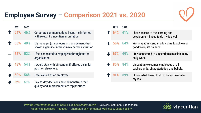## **Employee Survey – Comparison 2021 vs. 2020**

| 2021 | 2020       |                                                                                               | 2021   | 2020 |
|------|------------|-----------------------------------------------------------------------------------------------|--------|------|
| 54%  | 46%        | Corporate communications keeps me informed<br>with relevant Vincentian information.           | 64%    | 619  |
| 53%  | 49%        | My manager (or someone in management) has<br>shown a genuine interest in my career aspiration | $-56%$ | 649  |
| 52%  | 52%        | I feel connected to employees throughout the<br>organization.                                 | 67%    | 699  |
| 48%  | <b>54%</b> | I would stay with Vincentian if offered a similar<br>position elsewhere.                      | 85%    | 849  |
| 50%  | 56%        | I feel valued as an employee.                                                                 | 91%    | 899  |
| 52%  | 56%        | Day-to-day decisions here demonstrate that<br>quality and improvement are top priorities.     |        |      |

| 2021       | 2020 |                                                                                    |
|------------|------|------------------------------------------------------------------------------------|
| 64% 61%    |      | I have access to the learning and<br>development I need to do my job well.         |
| $56\%$ 64% |      | Working at Vincentian allows me to achieve a<br>good work/life balance.            |
| 67% 69%    |      | I feel connected to Vincentian's mission in my<br>daily work.                      |
| 85% 84%    |      | Vincentian welcomes employees of all<br>backgrounds, characteristics, and beliefs. |
| 91% 89%    |      | I know what I need to do to be successful in<br>my role.                           |

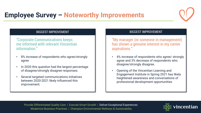

## **Employee Survey – Noteworthy Improvements**

#### BIGGEST IMPROVEMENT

"Corporate Communications keeps me informed with relevant Vincentian information."

- 8% increase of respondents who agree/strongly agree
- In 2020 this question had the largest percentage of disagree/strongly disagree responses.
- Several targeted communications initiatives between 2020-2021 likely influenced this improvement.

#### BIGGEST IMPROVEMENT

"My manager (or someone in management) has shown a genuine interest in my career aspirations."

- 4% increase of respondents who agree/ strongly agree and 3% decrease of respondents who disagree/strongly disagree.
- Opening of the Vincentian Learning and Engagement Institute in Spring 2021 has likely heightened awareness and conversations of professional development opportunities

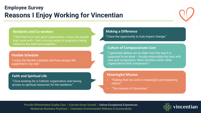### **Employee Survey Reasons I Enjoy Working for Vincentian**



#### **Residents and Co-workers**

"I feel that it is a very good organization. I enjoy the people that I work with. I feel a strong sense of purpose in being helpful to the staff and residents."

#### **Flexible Schedule**

"I enjoy the flexible schedule and have always felt supported in my role."

#### **Faith and Spiritual Life**

"I love working for a Catholic organization and having access to spiritual resources for the residents."

#### **Making a Difference**

"I have the opportunity to truly impact change."

#### **Culture of Compassionate Care**

"I genuinely believe we do Elder Care the way it is supposed to be done – fiscally responsible but also with care and compassion. Most facilities within other organizations lack compassion."

#### **Meaningful Mission**

- "Feeling that my work is meaningful and impacting others;"
- "The mission of Vincentian."

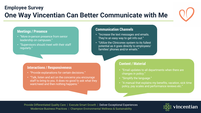### **Employee Survey One Way Vincentian Can Better Communicate with Me**



#### **Meetings / Presence**

- "More in-person presence from senior leadership on campuses."
- "Supervisors should meet with their staff regularly."

#### **Interactions / Responsiveness**

- "Provide explanations for certain decisions."
- "Talk, listen and act on the concerns you encourage staff to bring to you. It does no good to ask what they want/need and then nothing happens."

#### **Communication Channels**

- "Increase the text messages and emails. They're an easy way to get info out."
- "Utilize the Cliniconex system to its fullest potential as it goes directly to employees/ families' phones and/or emails."

#### **Content / Material**

- "Email updates to all departments when there are changes in policy."
- "Simplify the language."
- "A manual that explains my benefits, vacation, sick time policy, pay scales and performance reviews etc."